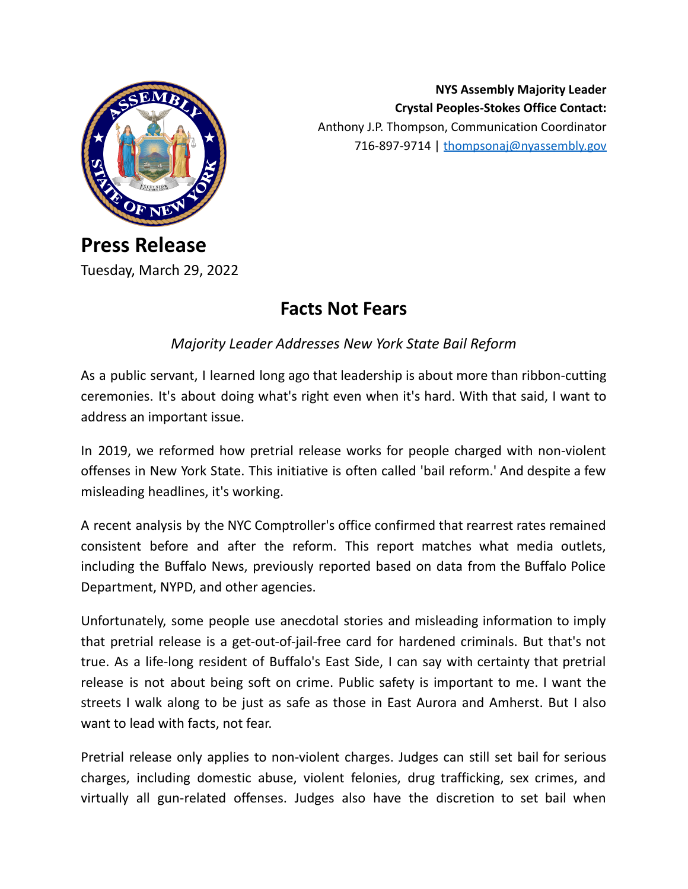

**NYS Assembly Majority Leader Crystal Peoples-Stokes Office Contact:** Anthony J.P. Thompson, Communication Coordinator 716-897-9714 | [thompsonaj@nyassembly.gov](mailto:thompsonajj@nyassembly.gov)

## **Press Release** Tuesday, March 29, 2022

## **Facts Not Fears**

*Majority Leader Addresses New York State Bail Reform*

As a public servant, I learned long ago that leadership is about more than ribbon-cutting ceremonies. It's about doing what's right even when it's hard. With that said, I want to address an important issue.

In 2019, we reformed how pretrial release works for people charged with non-violent offenses in New York State. This initiative is often called 'bail reform.' And despite a few misleading headlines, it's working.

A recent analysis by the NYC Comptroller's office confirmed that rearrest rates remained consistent before and after the reform. This report matches what media outlets, including the Buffalo News, previously reported based on data from the Buffalo Police Department, NYPD, and other agencies.

Unfortunately, some people use anecdotal stories and misleading information to imply that pretrial release is a get-out-of-jail-free card for hardened criminals. But that's not true. As a life-long resident of Buffalo's East Side, I can say with certainty that pretrial release is not about being soft on crime. Public safety is important to me. I want the streets I walk along to be just as safe as those in East Aurora and Amherst. But I also want to lead with facts, not fear.

Pretrial release only applies to non-violent charges. Judges can still set bail for serious charges, including domestic abuse, violent felonies, drug trafficking, sex crimes, and virtually all gun-related offenses. Judges also have the discretion to set bail when